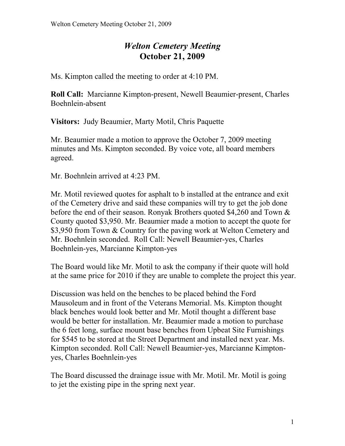## *Welton Cemetery Meeting*  **October 21, 2009**

Ms. Kimpton called the meeting to order at 4:10 PM.

**Roll Call:** Marcianne Kimpton-present, Newell Beaumier-present, Charles Boehnlein-absent

**Visitors:** Judy Beaumier, Marty Motil, Chris Paquette

Mr. Beaumier made a motion to approve the October 7, 2009 meeting minutes and Ms. Kimpton seconded. By voice vote, all board members agreed.

Mr. Boehnlein arrived at 4:23 PM.

Mr. Motil reviewed quotes for asphalt to b installed at the entrance and exit of the Cemetery drive and said these companies will try to get the job done before the end of their season. Ronyak Brothers quoted \$4,260 and Town & County quoted \$3,950. Mr. Beaumier made a motion to accept the quote for \$3,950 from Town & Country for the paving work at Welton Cemetery and Mr. Boehnlein seconded. Roll Call: Newell Beaumier-yes, Charles Boehnlein-yes, Marcianne Kimpton-yes

The Board would like Mr. Motil to ask the company if their quote will hold at the same price for 2010 if they are unable to complete the project this year.

Discussion was held on the benches to be placed behind the Ford Mausoleum and in front of the Veterans Memorial. Ms. Kimpton thought black benches would look better and Mr. Motil thought a different base would be better for installation. Mr. Beaumier made a motion to purchase the 6 feet long, surface mount base benches from Upbeat Site Furnishings for \$545 to be stored at the Street Department and installed next year. Ms. Kimpton seconded. Roll Call: Newell Beaumier-yes, Marcianne Kimptonyes, Charles Boehnlein-yes

The Board discussed the drainage issue with Mr. Motil. Mr. Motil is going to jet the existing pipe in the spring next year.